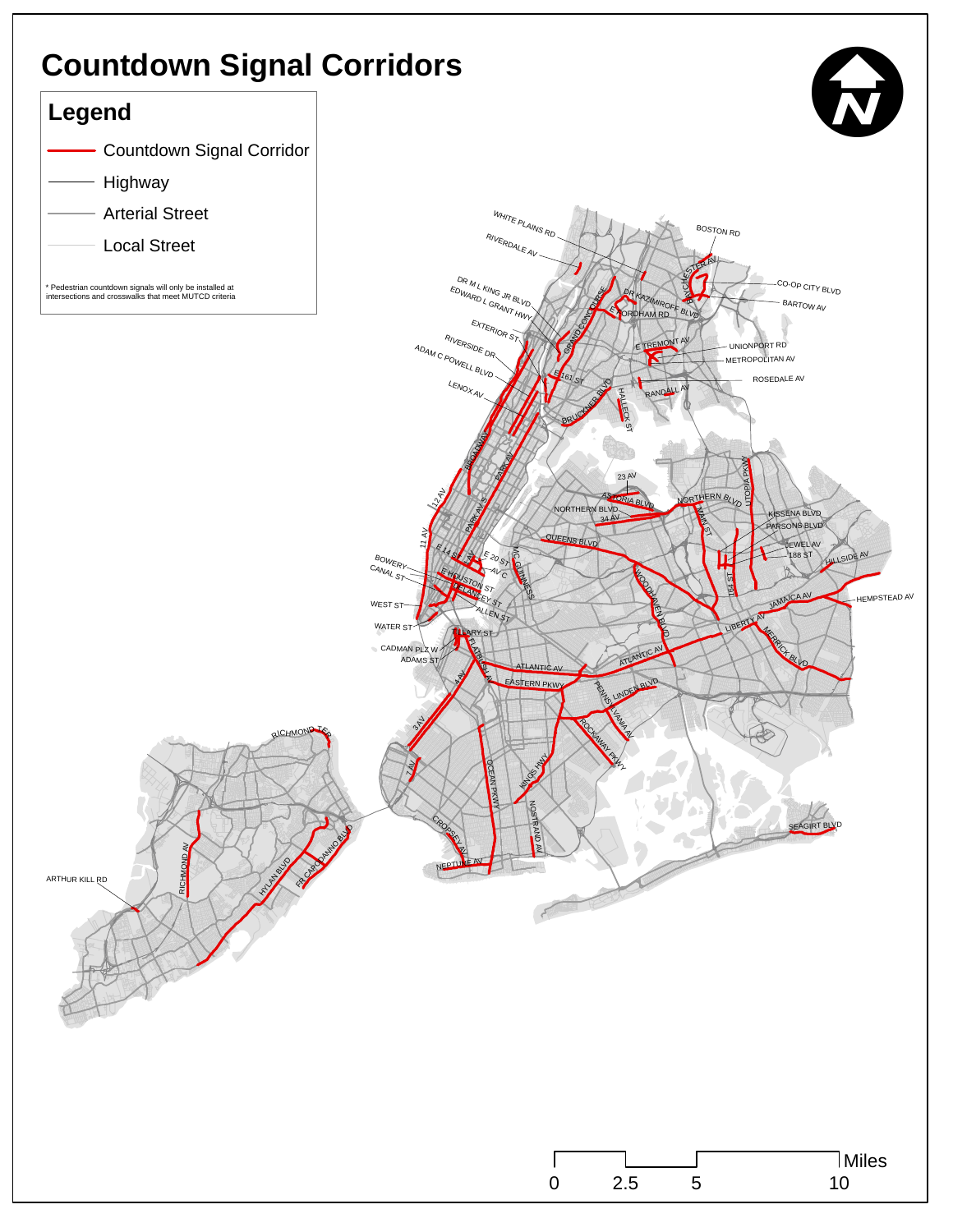# **Countdown Signal Corridors**

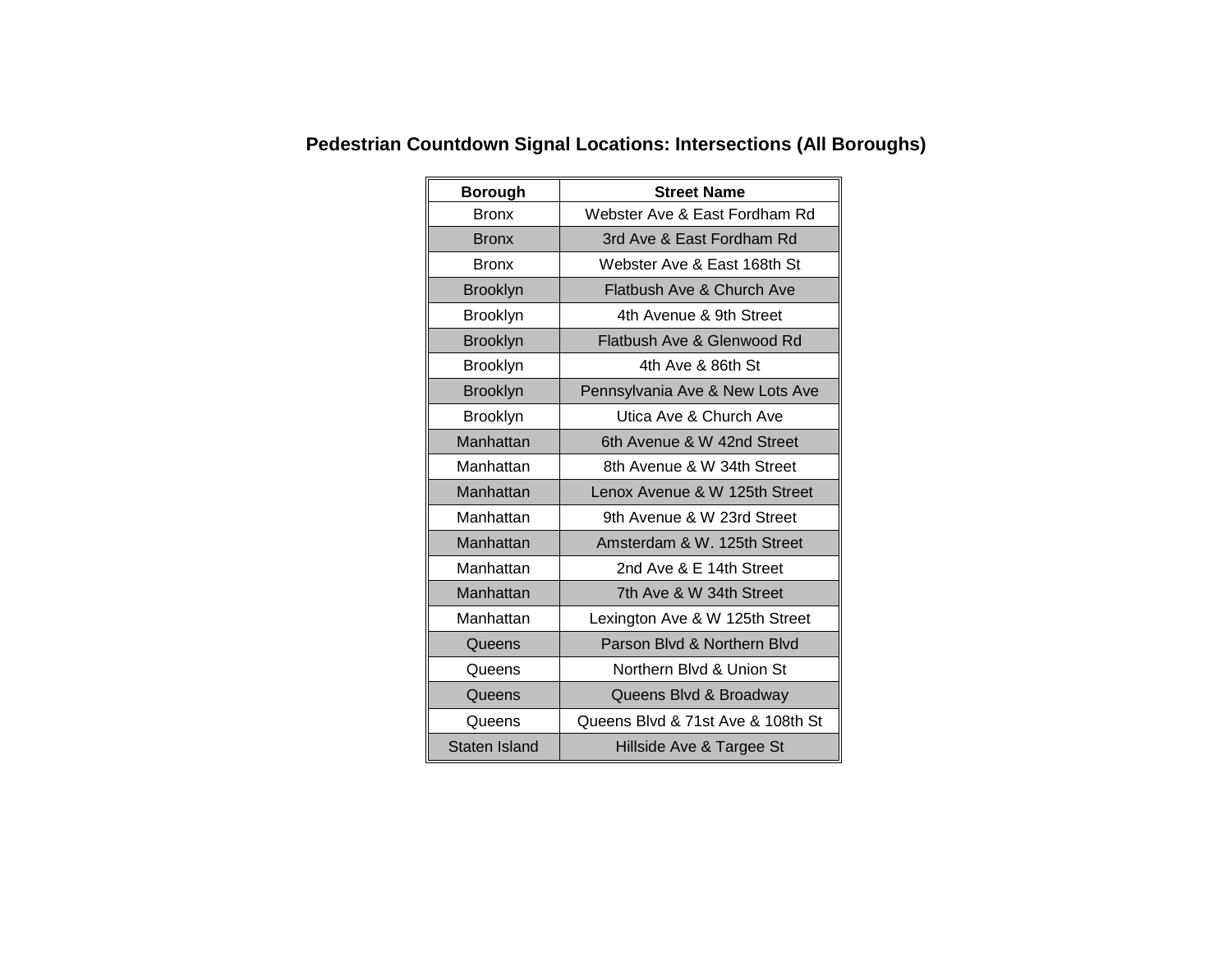| <b>Borough</b>  | <b>Street Name</b>                |  |
|-----------------|-----------------------------------|--|
| <b>Bronx</b>    | Webster Ave & East Fordham Rd     |  |
| <b>Bronx</b>    | 3rd Ave & East Fordham Rd         |  |
| <b>Bronx</b>    | Webster Ave & East 168th St       |  |
| <b>Brooklyn</b> | Flatbush Ave & Church Ave         |  |
| Brooklyn        | 4th Avenue & 9th Street           |  |
| <b>Brooklyn</b> | Flatbush Ave & Glenwood Rd        |  |
| <b>Brooklyn</b> | 4th Ave & 86th St                 |  |
| <b>Brooklyn</b> | Pennsylvania Ave & New Lots Ave   |  |
| Brooklyn        | Utica Ave & Church Ave            |  |
| Manhattan       | 6th Avenue & W 42nd Street        |  |
| Manhattan       | 8th Avenue & W 34th Street        |  |
| Manhattan       | Lenox Avenue & W 125th Street     |  |
| Manhattan       | 9th Avenue & W 23rd Street        |  |
| Manhattan       | Amsterdam & W. 125th Street       |  |
| Manhattan       | 2nd Ave & E 14th Street           |  |
| Manhattan       | 7th Ave & W 34th Street           |  |
| Manhattan       | Lexington Ave & W 125th Street    |  |
| Queens          | Parson Blyd & Northern Blyd       |  |
| Queens          | Northern Blvd & Union St          |  |
| Queens          | Queens Blvd & Broadway            |  |
| Queens          | Queens Blvd & 71st Ave & 108th St |  |
| Staten Island   | Hillside Ave & Targee St          |  |

### **Pedestrian Countdown Signal Locations: Intersections (All Boroughs)**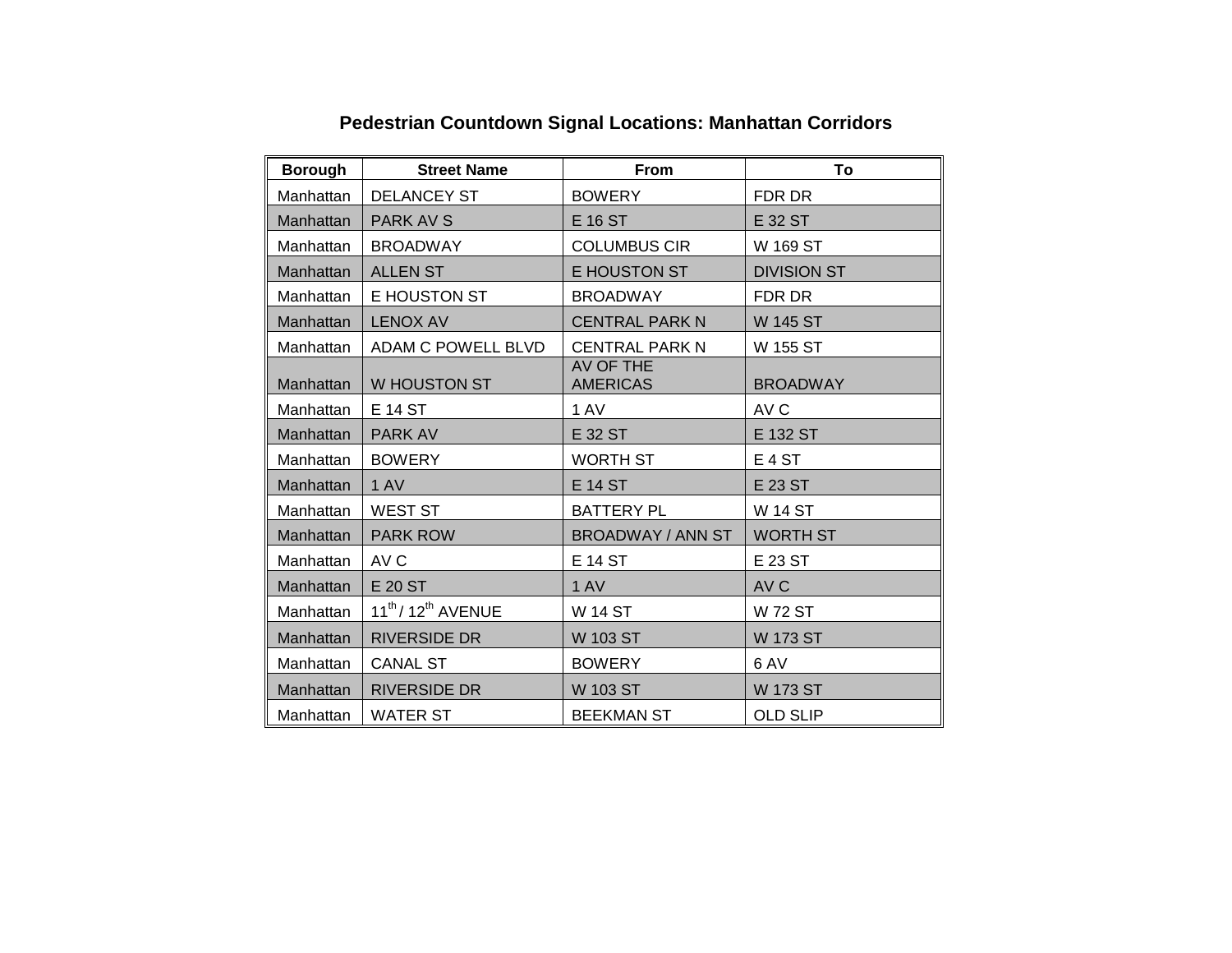| <b>Borough</b> | <b>Street Name</b>                          | <b>From</b>                  | To                 |
|----------------|---------------------------------------------|------------------------------|--------------------|
| Manhattan      | <b>DELANCEY ST</b>                          | <b>BOWERY</b>                | FDR DR             |
| Manhattan      | PARK AV S                                   | E 16 ST                      | E 32 ST            |
| Manhattan      | <b>BROADWAY</b>                             | <b>COLUMBUS CIR</b>          | W 169 ST           |
| Manhattan      | <b>ALLEN ST</b>                             | E HOUSTON ST                 | <b>DIVISION ST</b> |
| Manhattan      | E HOUSTON ST                                | <b>BROADWAY</b>              | FDR DR             |
| Manhattan      | <b>LENOX AV</b>                             | <b>CENTRAL PARK N</b>        | <b>W 145 ST</b>    |
| Manhattan      | ADAM C POWELL BLVD                          | <b>CENTRAL PARK N</b>        | W 155 ST           |
| Manhattan      | W HOUSTON ST                                | AV OF THE<br><b>AMERICAS</b> | <b>BROADWAY</b>    |
| Manhattan      | E 14 ST                                     | 1 AV                         | AV C               |
| Manhattan      | <b>PARK AV</b>                              | E 32 ST                      | E 132 ST           |
| Manhattan      | <b>BOWERY</b>                               | <b>WORTH ST</b>              | E <sub>4</sub> ST  |
| Manhattan      | 1 AV                                        | <b>E 14 ST</b>               | E 23 ST            |
| Manhattan      | <b>WEST ST</b>                              | <b>BATTERY PL</b>            | <b>W 14 ST</b>     |
| Manhattan      | <b>PARK ROW</b>                             | <b>BROADWAY / ANN ST</b>     | <b>WORTH ST</b>    |
| Manhattan      | AV C                                        | <b>E 14 ST</b>               | E 23 ST            |
| Manhattan      | E 20 ST                                     | 1 AV                         | AV C               |
| Manhattan      | $11^{\text{th}}$ / 12 $^{\text{th}}$ AVENUE | <b>W 14 ST</b>               | <b>W 72 ST</b>     |
| Manhattan      | <b>RIVERSIDE DR</b>                         | <b>W 103 ST</b>              | <b>W 173 ST</b>    |
| Manhattan      | <b>CANAL ST</b>                             | <b>BOWERY</b>                | 6 AV               |
| Manhattan      | <b>RIVERSIDE DR</b>                         | W 103 ST                     | <b>W 173 ST</b>    |
| Manhattan      | <b>WATER ST</b>                             | <b>BEEKMAN ST</b>            | <b>OLD SLIP</b>    |

## **Pedestrian Countdown Signal Locations: Manhattan Corridors**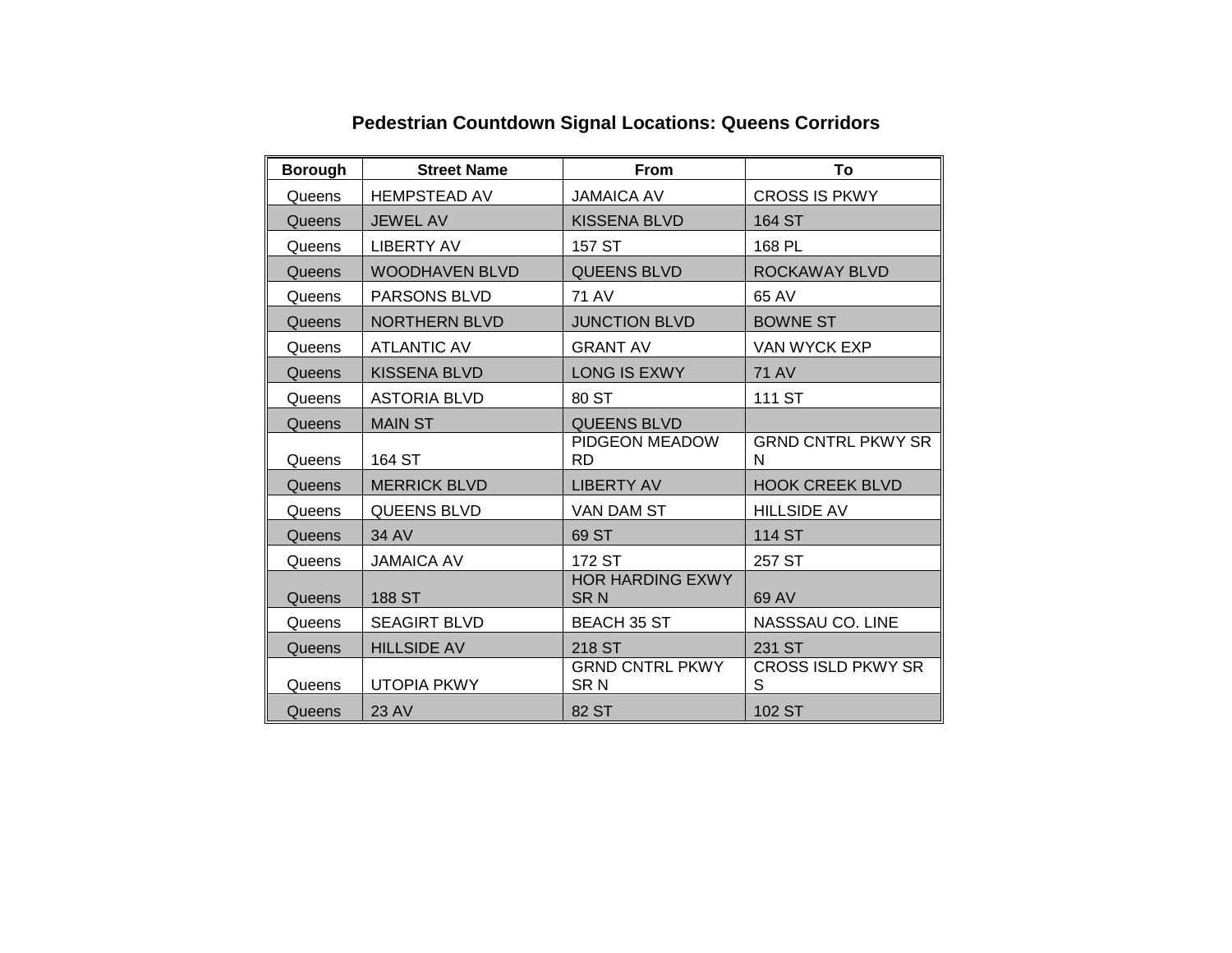| <b>Borough</b> | <b>Street Name</b>    | <b>From</b>                               | To                             |
|----------------|-----------------------|-------------------------------------------|--------------------------------|
| Queens         | <b>HEMPSTEAD AV</b>   | <b>JAMAICA AV</b>                         | <b>CROSS IS PKWY</b>           |
| Queens         | <b>JEWEL AV</b>       | <b>KISSENA BLVD</b>                       | 164 ST                         |
| Queens         | <b>LIBERTY AV</b>     | 157 ST                                    | 168 PL                         |
| Queens         | <b>WOODHAVEN BLVD</b> | <b>QUEENS BLVD</b>                        | ROCKAWAY BLVD                  |
| Queens         | PARSONS BLVD          | <b>71 AV</b>                              | 65 AV                          |
| Queens         | <b>NORTHERN BLVD</b>  | <b>JUNCTION BLVD</b>                      | <b>BOWNE ST</b>                |
| Queens         | <b>ATLANTIC AV</b>    | <b>GRANT AV</b>                           | VAN WYCK EXP                   |
| Queens         | <b>KISSENA BLVD</b>   | <b>LONG IS EXWY</b>                       | <b>71 AV</b>                   |
| Queens         | <b>ASTORIA BLVD</b>   | 80 ST                                     | 111 ST                         |
| Queens         | <b>MAIN ST</b>        | <b>QUEENS BLVD</b>                        |                                |
| Queens         | 164 ST                | PIDGEON MEADOW<br><b>RD</b>               | <b>GRND CNTRL PKWY SR</b><br>N |
| Queens         | <b>MERRICK BLVD</b>   | <b>LIBERTY AV</b>                         | <b>HOOK CREEK BLVD</b>         |
| Queens         | <b>QUEENS BLVD</b>    | VAN DAM ST                                | <b>HILLSIDE AV</b>             |
| Queens         | 34 AV                 | 69 ST                                     | <b>114 ST</b>                  |
| Queens         | <b>JAMAICA AV</b>     | 172 ST                                    | 257 ST                         |
| Queens         | 188 ST                | <b>HOR HARDING EXWY</b><br><b>SRN</b>     | 69 AV                          |
| Queens         | <b>SEAGIRT BLVD</b>   | <b>BEACH 35 ST</b>                        | NASSSAU CO. LINE               |
| Queens         | <b>HILLSIDE AV</b>    | 218 ST                                    | 231 ST                         |
| Queens         | <b>UTOPIA PKWY</b>    | <b>GRND CNTRL PKWY</b><br>SR <sub>N</sub> | <b>CROSS ISLD PKWY SR</b><br>S |
| Queens         | 23 AV                 | 82 ST                                     | 102 ST                         |

## **Pedestrian Countdown Signal Locations: Queens Corridors**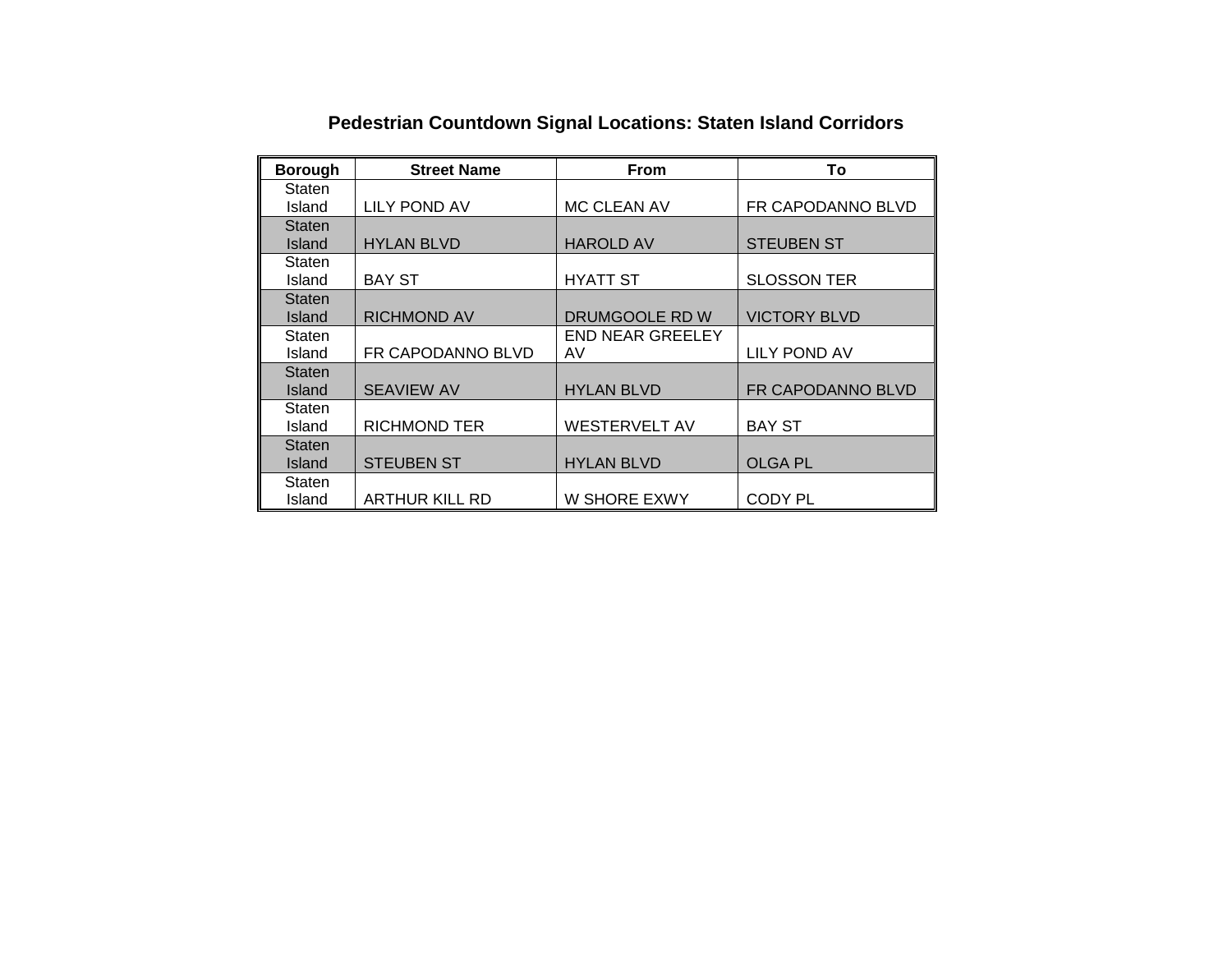| <b>Borough</b> | <b>Street Name</b>    | <b>From</b>             | To                  |
|----------------|-----------------------|-------------------------|---------------------|
| Staten         |                       |                         |                     |
| Island         | <b>LILY POND AV</b>   | <b>MC CLEAN AV</b>      | FR CAPODANNO BLVD   |
| <b>Staten</b>  |                       |                         |                     |
| Island         | <b>HYLAN BLVD</b>     | <b>HAROLD AV</b>        | <b>STEUBEN ST</b>   |
| Staten         |                       |                         |                     |
| Island         | <b>BAY ST</b>         | <b>HYATT ST</b>         | <b>SLOSSON TER</b>  |
| <b>Staten</b>  |                       |                         |                     |
| Island         | <b>RICHMOND AV</b>    | DRUMGOOLE RD W          | <b>VICTORY BLVD</b> |
| Staten         |                       | <b>END NEAR GREELEY</b> |                     |
| Island         | FR CAPODANNO BLVD     | AV                      | LILY POND AV        |
| <b>Staten</b>  |                       |                         |                     |
| Island         | <b>SEAVIEW AV</b>     | <b>HYLAN BLVD</b>       | FR CAPODANNO BLVD   |
| Staten         |                       |                         |                     |
| Island         | <b>RICHMOND TER</b>   | <b>WESTERVELT AV</b>    | <b>BAY ST</b>       |
| Staten         |                       |                         |                     |
| Island         | <b>STEUBEN ST</b>     | <b>HYLAN BLVD</b>       | <b>OLGA PL</b>      |
| Staten         |                       |                         |                     |
| Island         | <b>ARTHUR KILL RD</b> | W SHORE EXWY            | <b>CODY PL</b>      |

## **Pedestrian Countdown Signal Locations: Staten Island Corridors**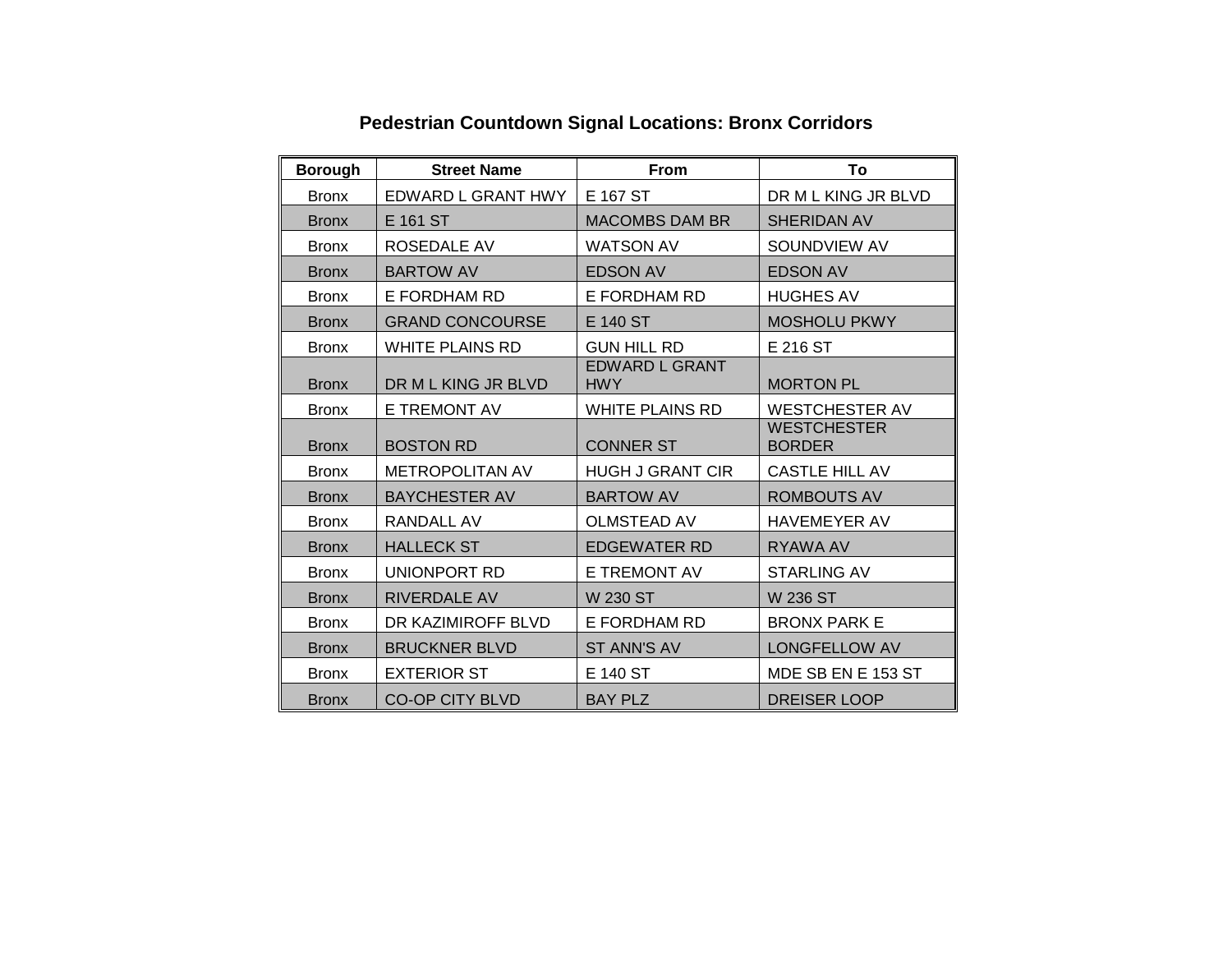| <b>Borough</b> | <b>Street Name</b>     | <b>From</b>                         | To                                  |
|----------------|------------------------|-------------------------------------|-------------------------------------|
| <b>Bronx</b>   | EDWARD L GRANT HWY     | E 167 ST                            | DR M L KING JR BLVD                 |
| <b>Bronx</b>   | E 161 ST               | <b>MACOMBS DAM BR</b>               | <b>SHERIDAN AV</b>                  |
| <b>Bronx</b>   | ROSEDALE AV            | <b>WATSON AV</b>                    | SOUNDVIEW AV                        |
| <b>Bronx</b>   | <b>BARTOW AV</b>       | <b>EDSON AV</b>                     | <b>EDSON AV</b>                     |
| <b>Bronx</b>   | E FORDHAM RD           | E FORDHAM RD                        | <b>HUGHES AV</b>                    |
| <b>Bronx</b>   | <b>GRAND CONCOURSE</b> | E 140 ST                            | <b>MOSHOLU PKWY</b>                 |
| <b>Bronx</b>   | WHITE PLAINS RD        | <b>GUN HILL RD</b>                  | E 216 ST                            |
| <b>Bronx</b>   | DR M L KING JR BLVD    | <b>EDWARD L GRANT</b><br><b>HWY</b> | <b>MORTON PL</b>                    |
| <b>Bronx</b>   | E TREMONT AV           | <b>WHITE PLAINS RD</b>              | <b>WESTCHESTER AV</b>               |
| <b>Bronx</b>   | <b>BOSTON RD</b>       | <b>CONNER ST</b>                    | <b>WESTCHESTER</b><br><b>BORDER</b> |
| <b>Bronx</b>   | <b>METROPOLITAN AV</b> | <b>HUGH J GRANT CIR</b>             | <b>CASTLE HILL AV</b>               |
| <b>Bronx</b>   | <b>BAYCHESTER AV</b>   | <b>BARTOW AV</b>                    | <b>ROMBOUTS AV</b>                  |
| <b>Bronx</b>   | RANDALL AV             | <b>OLMSTEAD AV</b>                  | <b>HAVEMEYER AV</b>                 |
| <b>Bronx</b>   | <b>HALLECK ST</b>      | <b>EDGEWATER RD</b>                 | RYAWA AV                            |
| <b>Bronx</b>   | UNIONPORT RD           | E TREMONT AV                        | <b>STARLING AV</b>                  |
| <b>Bronx</b>   | <b>RIVERDALE AV</b>    | W 230 ST                            | W 236 ST                            |
| <b>Bronx</b>   | DR KAZIMIROFF BLVD     | E FORDHAM RD                        | <b>BRONX PARK E</b>                 |
| <b>Bronx</b>   | <b>BRUCKNER BLVD</b>   | <b>ST ANN'S AV</b>                  | <b>LONGFELLOW AV</b>                |
| <b>Bronx</b>   | <b>EXTERIOR ST</b>     | E 140 ST                            | MDE SB EN E 153 ST                  |
| <b>Bronx</b>   | <b>CO-OP CITY BLVD</b> | <b>BAY PLZ</b>                      | <b>DREISER LOOP</b>                 |